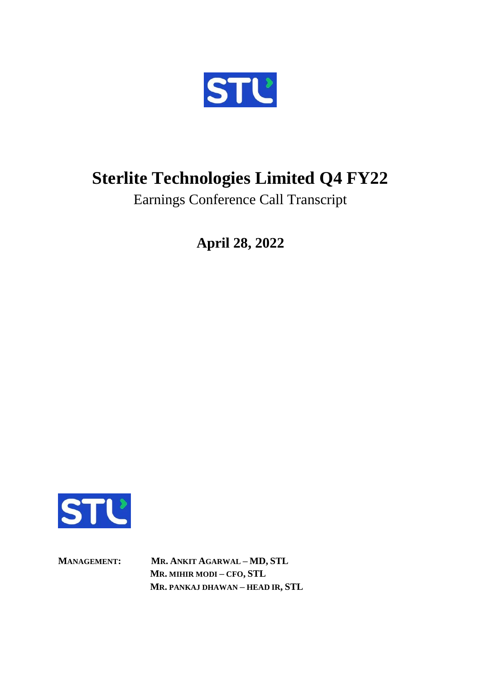

## **Sterlite Technologies Limited Q4 FY22**

Earnings Conference Call Transcript

**April 28, 2022**



**MANAGEMENT: MR. ANKIT AGARWAL – MD, STL MR. MIHIR MODI – CFO, STL MR. PANKAJ DHAWAN – HEAD IR, STL**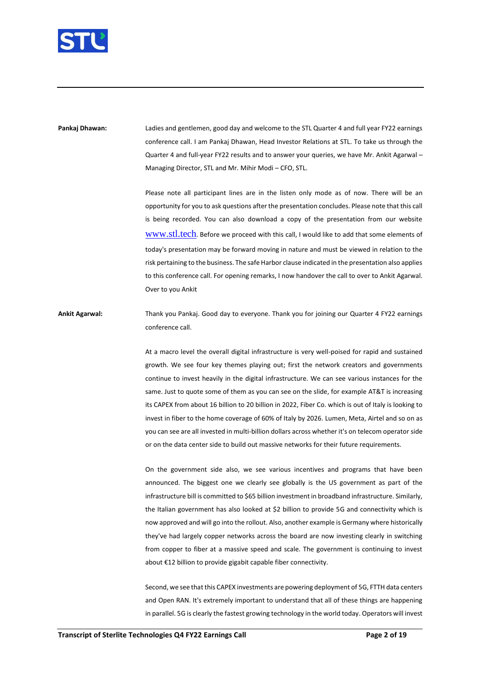

**Pankaj Dhawan:** Ladies and gentlemen, good day and welcome to the STL Quarter 4 and full year FY22 earnings conference call. I am Pankaj Dhawan, Head Investor Relations at STL. To take us through the Quarter 4 and full-year FY22 results and to answer your queries, we have Mr. Ankit Agarwal -Managing Director, STL and Mr. Mihir Modi – CFO, STL.

> Please note all participant lines are in the listen only mode as of now. There will be an opportunity for you to ask questions after the presentation concludes. Please note that this call is being recorded. You can also download a copy of the presentation from our website <www.stl.tech>. Before we proceed with this call, I would like to add that some elements of today's presentation may be forward moving in nature and must be viewed in relation to the risk pertaining to the business. The safe Harbor clause indicated in the presentation also applies to this conference call. For opening remarks, I now handover the call to over to Ankit Agarwal. Over to you Ankit

**Ankit Agarwal:** Thank you Pankaj. Good day to everyone. Thank you for joining our Quarter 4 FY22 earnings conference call.

> At a macro level the overall digital infrastructure is very well-poised for rapid and sustained growth. We see four key themes playing out; first the network creators and governments continue to invest heavily in the digital infrastructure. We can see various instances for the same. Just to quote some of them as you can see on the slide, for example AT&T is increasing its CAPEX from about 16 billion to 20 billion in 2022, Fiber Co. which is out of Italy is looking to invest in fiber to the home coverage of 60% of Italy by 2026. Lumen, Meta, Airtel and so on as you can see are all invested in multi-billion dollars across whether it's on telecom operator side or on the data center side to build out massive networks for their future requirements.

> On the government side also, we see various incentives and programs that have been announced. The biggest one we clearly see globally is the US government as part of the infrastructure bill is committed to \$65 billion investment in broadband infrastructure. Similarly, the Italian government has also looked at \$2 billion to provide 5G and connectivity which is now approved and will go into the rollout. Also, another example is Germany where historically they've had largely copper networks across the board are now investing clearly in switching from copper to fiber at a massive speed and scale. The government is continuing to invest about €12 billion to provide gigabit capable fiber connectivity.

> Second, we see that this CAPEX investments are powering deployment of 5G, FTTH data centers and Open RAN. It's extremely important to understand that all of these things are happening in parallel. 5G is clearly the fastest growing technology in the world today. Operators will invest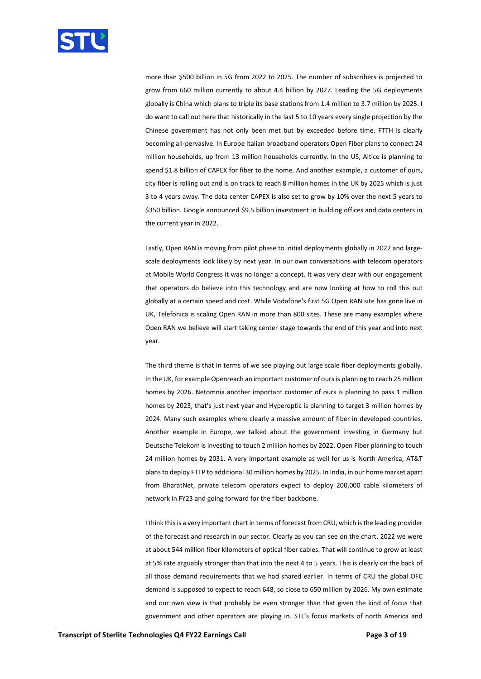

more than \$500 billion in 5G from 2022 to 2025. The number of subscribers is projected to grow from 660 million currently to about 4.4 billion by 2027. Leading the 5G deployments globally is China which plans to triple its base stations from 1.4 million to 3.7 million by 2025. I do want to call out here that historically in the last 5 to 10 years every single projection by the Chinese government has not only been met but by exceeded before time. FTTH is clearly becoming all-pervasive. In Europe Italian broadband operators Open Fiber plans to connect 24 million households, up from 13 million households currently. In the US, Altice is planning to spend \$1.8 billion of CAPEX for fiber to the home. And another example, a customer of ours, city fiber is rolling out and is on track to reach 8 million homes in the UK by 2025 which is just 3 to 4 years away. The data center CAPEX is also set to grow by 10% over the next 5 years to \$350 billion. Google announced \$9.5 billion investment in building offices and data centers in the current year in 2022.

Lastly, Open RAN is moving from pilot phase to initial deployments globally in 2022 and largescale deployments look likely by next year. In our own conversations with telecom operators at Mobile World Congress it was no longer a concept. It was very clear with our engagement that operators do believe into this technology and are now looking at how to roll this out globally at a certain speed and cost. While Vodafone's first 5G Open RAN site has gone live in UK, Telefonica is scaling Open RAN in more than 800 sites. These are many examples where Open RAN we believe will start taking center stage towards the end of this year and into next year.

The third theme is that in terms of we see playing out large scale fiber deployments globally. In the UK, for example Openreach an important customer of ours is planning to reach 25 million homes by 2026. Netomnia another important customer of ours is planning to pass 1 million homes by 2023, that's just next year and Hyperoptic is planning to target 3 million homes by 2024. Many such examples where clearly a massive amount of fiber in developed countries. Another example in Europe, we talked about the government investing in Germany but Deutsche Telekom is investing to touch 2 million homes by 2022. Open Fiber planning to touch 24 million homes by 2031. A very important example as well for us is North America, AT&T plans to deploy FTTP to additional 30 million homes by 2025. In India, in our home market apart from BharatNet, private telecom operators expect to deploy 200,000 cable kilometers of network in FY23 and going forward for the fiber backbone.

I think this is a very important chart in terms of forecast from CRU, which is the leading provider of the forecast and research in our sector. Clearly as you can see on the chart, 2022 we were at about 544 million fiber kilometers of optical fiber cables. That will continue to grow at least at 5% rate arguably stronger than that into the next 4 to 5 years. This is clearly on the back of all those demand requirements that we had shared earlier. In terms of CRU the global OFC demand is supposed to expect to reach 648, so close to 650 million by 2026. My own estimate and our own view is that probably be even stronger than that given the kind of focus that government and other operators are playing in. STL's focus markets of north America and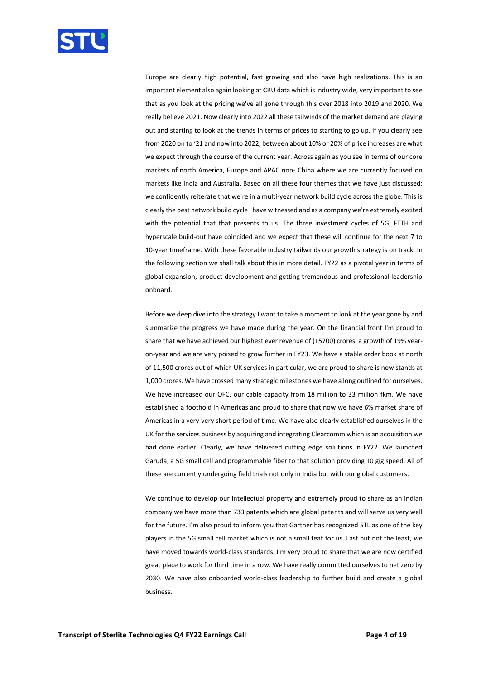

Europe are clearly high potential, fast growing and also have high realizations. This is an important element also again looking at CRU data which is industry wide, very important to see that as you look at the pricing we've all gone through this over 2018 into 2019 and 2020. We really believe 2021. Now clearly into 2022 all these tailwinds of the market demand are playing out and starting to look at the trends in terms of prices to starting to go up. If you clearly see from 2020 on to '21 and now into 2022, between about 10% or 20% of price increases are what we expect through the course of the current year. Across again as you see in terms of our core markets of north America, Europe and APAC non- China where we are currently focused on markets like India and Australia. Based on all these four themes that we have just discussed; we confidently reiterate that we're in a multi-year network build cycle across the globe. This is clearly the best network build cycle I have witnessed and as a company we're extremely excited with the potential that that presents to us. The three investment cycles of 5G, FTTH and hyperscale build-out have coincided and we expect that these will continue for the next 7 to 10-year timeframe. With these favorable industry tailwinds our growth strategy is on track. In the following section we shall talk about this in more detail. FY22 as a pivotal year in terms of global expansion, product development and getting tremendous and professional leadership onboard.

Before we deep dive into the strategy I want to take a moment to look at the year gone by and summarize the progress we have made during the year. On the financial front I'm proud to share that we have achieved our highest ever revenue of (+5700) crores, a growth of 19% yearon-year and we are very poised to grow further in FY23. We have a stable order book at north of 11,500 crores out of which UK services in particular, we are proud to share is now stands at 1,000 crores. We have crossed many strategic milestones we have a long outlined for ourselves. We have increased our OFC, our cable capacity from 18 million to 33 million fkm. We have established a foothold in Americas and proud to share that now we have 6% market share of Americas in a very-very short period of time. We have also clearly established ourselves in the UK for the services business by acquiring and integrating Clearcomm which is an acquisition we had done earlier. Clearly, we have delivered cutting edge solutions in FY22. We launched Garuda, a 5G small cell and programmable fiber to that solution providing 10 gig speed. All of these are currently undergoing field trials not only in India but with our global customers.

We continue to develop our intellectual property and extremely proud to share as an Indian company we have more than 733 patents which are global patents and will serve us very well for the future. I'm also proud to inform you that Gartner has recognized STL as one of the key players in the 5G small cell market which is not a small feat for us. Last but not the least, we have moved towards world-class standards. I'm very proud to share that we are now certified great place to work for third time in a row. We have really committed ourselves to net zero by 2030. We have also onboarded world-class leadership to further build and create a global business.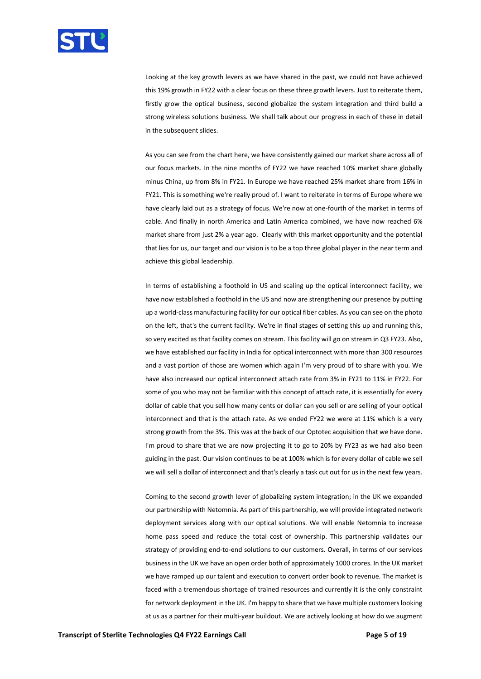

Looking at the key growth levers as we have shared in the past, we could not have achieved this 19% growth in FY22 with a clear focus on these three growth levers. Just to reiterate them, firstly grow the optical business, second globalize the system integration and third build a strong wireless solutions business. We shall talk about our progress in each of these in detail in the subsequent slides.

As you can see from the chart here, we have consistently gained our market share across all of our focus markets. In the nine months of FY22 we have reached 10% market share globally minus China, up from 8% in FY21. In Europe we have reached 25% market share from 16% in FY21. This is something we're really proud of. I want to reiterate in terms of Europe where we have clearly laid out as a strategy of focus. We're now at one-fourth of the market in terms of cable. And finally in north America and Latin America combined, we have now reached 6% market share from just 2% a year ago. Clearly with this market opportunity and the potential that lies for us, our target and our vision is to be a top three global player in the near term and achieve this global leadership.

In terms of establishing a foothold in US and scaling up the optical interconnect facility, we have now established a foothold in the US and now are strengthening our presence by putting up a world-class manufacturing facility for our optical fiber cables. As you can see on the photo on the left, that's the current facility. We're in final stages of setting this up and running this, so very excited as that facility comes on stream. This facility will go on stream in Q3 FY23. Also, we have established our facility in India for optical interconnect with more than 300 resources and a vast portion of those are women which again I'm very proud of to share with you. We have also increased our optical interconnect attach rate from 3% in FY21 to 11% in FY22. For some of you who may not be familiar with this concept of attach rate, it is essentially for every dollar of cable that you sell how many cents or dollar can you sell or are selling of your optical interconnect and that is the attach rate. As we ended FY22 we were at 11% which is a very strong growth from the 3%. This was at the back of our Optotec acquisition that we have done. I'm proud to share that we are now projecting it to go to 20% by FY23 as we had also been guiding in the past. Our vision continues to be at 100% which is for every dollar of cable we sell we will sell a dollar of interconnect and that's clearly a task cut out for us in the next few years.

Coming to the second growth lever of globalizing system integration; in the UK we expanded our partnership with Netomnia. As part of this partnership, we will provide integrated network deployment services along with our optical solutions. We will enable Netomnia to increase home pass speed and reduce the total cost of ownership. This partnership validates our strategy of providing end-to-end solutions to our customers. Overall, in terms of our services business in the UK we have an open order both of approximately 1000 crores. In the UK market we have ramped up our talent and execution to convert order book to revenue. The market is faced with a tremendous shortage of trained resources and currently it is the only constraint for network deployment in the UK. I'm happy to share that we have multiple customers looking at us as a partner for their multi-year buildout. We are actively looking at how do we augment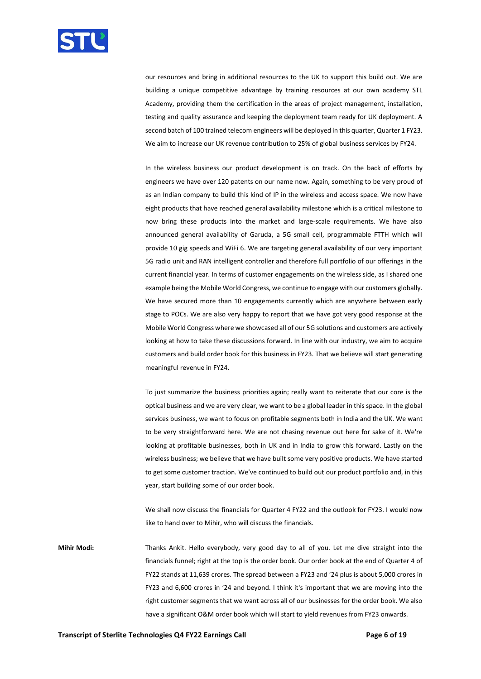

our resources and bring in additional resources to the UK to support this build out. We are building a unique competitive advantage by training resources at our own academy STL Academy, providing them the certification in the areas of project management, installation, testing and quality assurance and keeping the deployment team ready for UK deployment. A second batch of 100 trained telecom engineers will be deployed in this quarter, Quarter 1 FY23. We aim to increase our UK revenue contribution to 25% of global business services by FY24.

In the wireless business our product development is on track. On the back of efforts by engineers we have over 120 patents on our name now. Again, something to be very proud of as an Indian company to build this kind of IP in the wireless and access space. We now have eight products that have reached general availability milestone which is a critical milestone to now bring these products into the market and large-scale requirements. We have also announced general availability of Garuda, a 5G small cell, programmable FTTH which will provide 10 gig speeds and WiFi 6. We are targeting general availability of our very important 5G radio unit and RAN intelligent controller and therefore full portfolio of our offerings in the current financial year. In terms of customer engagements on the wireless side, as I shared one example being the Mobile World Congress, we continue to engage with our customers globally. We have secured more than 10 engagements currently which are anywhere between early stage to POCs. We are also very happy to report that we have got very good response at the Mobile World Congress where we showcased all of our 5G solutions and customers are actively looking at how to take these discussions forward. In line with our industry, we aim to acquire customers and build order book for this business in FY23. That we believe will start generating meaningful revenue in FY24.

To just summarize the business priorities again; really want to reiterate that our core is the optical business and we are very clear, we want to be a global leader in this space. In the global services business, we want to focus on profitable segments both in India and the UK. We want to be very straightforward here. We are not chasing revenue out here for sake of it. We're looking at profitable businesses, both in UK and in India to grow this forward. Lastly on the wireless business; we believe that we have built some very positive products. We have started to get some customer traction. We've continued to build out our product portfolio and, in this year, start building some of our order book.

We shall now discuss the financials for Quarter 4 FY22 and the outlook for FY23. I would now like to hand over to Mihir, who will discuss the financials.

**Mihir Modi:** Thanks Ankit. Hello everybody, very good day to all of you. Let me dive straight into the financials funnel; right at the top is the order book. Our order book at the end of Quarter 4 of FY22 stands at 11,639 crores. The spread between a FY23 and '24 plus is about 5,000 crores in FY23 and 6,600 crores in '24 and beyond. I think it's important that we are moving into the right customer segments that we want across all of our businesses for the order book. We also have a significant O&M order book which will start to yield revenues from FY23 onwards.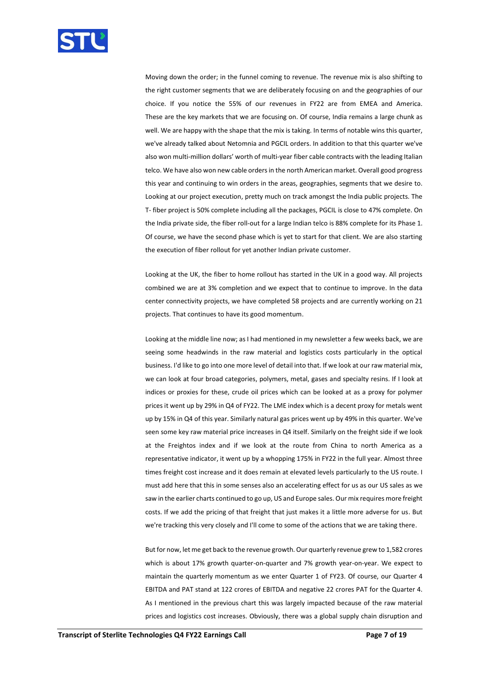

Moving down the order; in the funnel coming to revenue. The revenue mix is also shifting to the right customer segments that we are deliberately focusing on and the geographies of our choice. If you notice the 55% of our revenues in FY22 are from EMEA and America. These are the key markets that we are focusing on. Of course, India remains a large chunk as well. We are happy with the shape that the mix is taking. In terms of notable wins this quarter, we've already talked about Netomnia and PGCIL orders. In addition to that this quarter we've also won multi-million dollars' worth of multi-year fiber cable contracts with the leading Italian telco. We have also won new cable orders in the north American market. Overall good progress this year and continuing to win orders in the areas, geographies, segments that we desire to. Looking at our project execution, pretty much on track amongst the India public projects. The T- fiber project is 50% complete including all the packages, PGCIL is close to 47% complete. On the India private side, the fiber roll-out for a large Indian telco is 88% complete for its Phase 1. Of course, we have the second phase which is yet to start for that client. We are also starting the execution of fiber rollout for yet another Indian private customer.

Looking at the UK, the fiber to home rollout has started in the UK in a good way. All projects combined we are at 3% completion and we expect that to continue to improve. In the data center connectivity projects, we have completed 58 projects and are currently working on 21 projects. That continues to have its good momentum.

Looking at the middle line now; as I had mentioned in my newsletter a few weeks back, we are seeing some headwinds in the raw material and logistics costs particularly in the optical business. I'd like to go into one more level of detail into that. If we look at our raw material mix, we can look at four broad categories, polymers, metal, gases and specialty resins. If I look at indices or proxies for these, crude oil prices which can be looked at as a proxy for polymer prices it went up by 29% in Q4 of FY22. The LME index which is a decent proxy for metals went up by 15% in Q4 of this year. Similarly natural gas prices went up by 49% in this quarter. We've seen some key raw material price increases in Q4 itself. Similarly on the freight side if we look at the Freightos index and if we look at the route from China to north America as a representative indicator, it went up by a whopping 175% in FY22 in the full year. Almost three times freight cost increase and it does remain at elevated levels particularly to the US route. I must add here that this in some senses also an accelerating effect for us as our US sales as we saw in the earlier charts continued to go up, US and Europe sales. Our mix requires more freight costs. If we add the pricing of that freight that just makes it a little more adverse for us. But we're tracking this very closely and I'll come to some of the actions that we are taking there.

But for now, let me get back to the revenue growth. Our quarterly revenue grew to 1,582 crores which is about 17% growth quarter-on-quarter and 7% growth year-on-year. We expect to maintain the quarterly momentum as we enter Quarter 1 of FY23. Of course, our Quarter 4 EBITDA and PAT stand at 122 crores of EBITDA and negative 22 crores PAT for the Quarter 4. As I mentioned in the previous chart this was largely impacted because of the raw material prices and logistics cost increases. Obviously, there was a global supply chain disruption and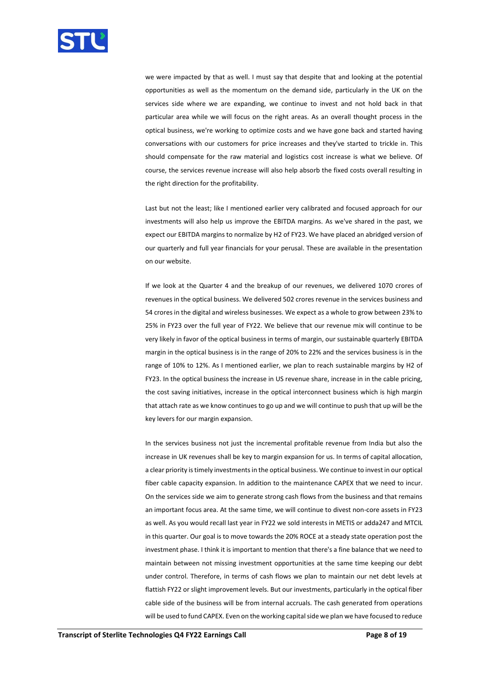

we were impacted by that as well. I must say that despite that and looking at the potential opportunities as well as the momentum on the demand side, particularly in the UK on the services side where we are expanding, we continue to invest and not hold back in that particular area while we will focus on the right areas. As an overall thought process in the optical business, we're working to optimize costs and we have gone back and started having conversations with our customers for price increases and they've started to trickle in. This should compensate for the raw material and logistics cost increase is what we believe. Of course, the services revenue increase will also help absorb the fixed costs overall resulting in the right direction for the profitability.

Last but not the least; like I mentioned earlier very calibrated and focused approach for our investments will also help us improve the EBITDA margins. As we've shared in the past, we expect our EBITDA margins to normalize by H2 of FY23. We have placed an abridged version of our quarterly and full year financials for your perusal. These are available in the presentation on our website.

If we look at the Quarter 4 and the breakup of our revenues, we delivered 1070 crores of revenues in the optical business. We delivered 502 crores revenue in the services business and 54 crores in the digital and wireless businesses. We expect as a whole to grow between 23% to 25% in FY23 over the full year of FY22. We believe that our revenue mix will continue to be very likely in favor of the optical business in terms of margin, our sustainable quarterly EBITDA margin in the optical business is in the range of 20% to 22% and the services business is in the range of 10% to 12%. As I mentioned earlier, we plan to reach sustainable margins by H2 of FY23. In the optical business the increase in US revenue share, increase in in the cable pricing, the cost saving initiatives, increase in the optical interconnect business which is high margin that attach rate as we know continues to go up and we will continue to push that up will be the key levers for our margin expansion.

In the services business not just the incremental profitable revenue from India but also the increase in UK revenues shall be key to margin expansion for us. In terms of capital allocation, a clear priority is timely investmentsin the optical business. We continue to invest in our optical fiber cable capacity expansion. In addition to the maintenance CAPEX that we need to incur. On the services side we aim to generate strong cash flows from the business and that remains an important focus area. At the same time, we will continue to divest non-core assets in FY23 as well. As you would recall last year in FY22 we sold interests in METIS or adda247 and MTCIL in this quarter. Our goal is to move towards the 20% ROCE at a steady state operation post the investment phase. I think it is important to mention that there's a fine balance that we need to maintain between not missing investment opportunities at the same time keeping our debt under control. Therefore, in terms of cash flows we plan to maintain our net debt levels at flattish FY22 or slight improvement levels. But our investments, particularly in the optical fiber cable side of the business will be from internal accruals. The cash generated from operations will be used to fund CAPEX. Even on the working capital side we plan we have focused to reduce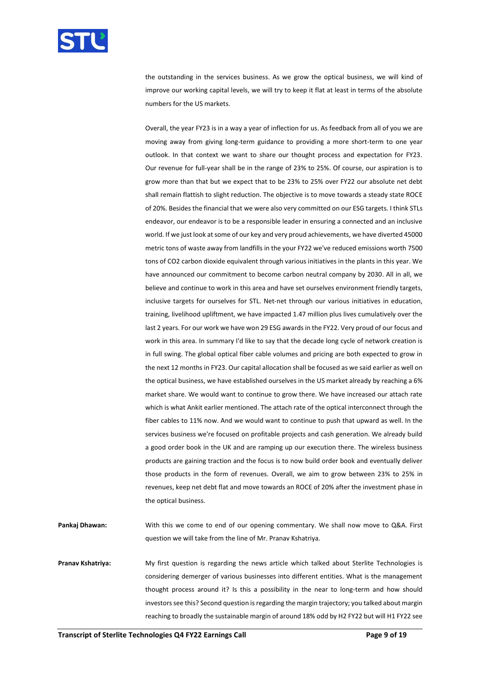

the outstanding in the services business. As we grow the optical business, we will kind of improve our working capital levels, we will try to keep it flat at least in terms of the absolute numbers for the US markets.

Overall, the year FY23 is in a way a year of inflection for us. As feedback from all of you we are moving away from giving long-term guidance to providing a more short-term to one year outlook. In that context we want to share our thought process and expectation for FY23. Our revenue for full-year shall be in the range of 23% to 25%. Of course, our aspiration is to grow more than that but we expect that to be 23% to 25% over FY22 our absolute net debt shall remain flattish to slight reduction. The objective is to move towards a steady state ROCE of 20%. Besides the financial that we were also very committed on our ESG targets. I think STLs endeavor, our endeavor is to be a responsible leader in ensuring a connected and an inclusive world. If we just look at some of our key and very proud achievements, we have diverted 45000 metric tons of waste away from landfills in the your FY22 we've reduced emissions worth 7500 tons of CO2 carbon dioxide equivalent through various initiatives in the plants in this year. We have announced our commitment to become carbon neutral company by 2030. All in all, we believe and continue to work in this area and have set ourselves environment friendly targets, inclusive targets for ourselves for STL. Net-net through our various initiatives in education, training, livelihood upliftment, we have impacted 1.47 million plus lives cumulatively over the last 2 years. For our work we have won 29 ESG awards in the FY22. Very proud of our focus and work in this area. In summary I'd like to say that the decade long cycle of network creation is in full swing. The global optical fiber cable volumes and pricing are both expected to grow in the next 12 months in FY23. Our capital allocation shall be focused as we said earlier as well on the optical business, we have established ourselves in the US market already by reaching a 6% market share. We would want to continue to grow there. We have increased our attach rate which is what Ankit earlier mentioned. The attach rate of the optical interconnect through the fiber cables to 11% now. And we would want to continue to push that upward as well. In the services business we're focused on profitable projects and cash generation. We already build a good order book in the UK and are ramping up our execution there. The wireless business products are gaining traction and the focus is to now build order book and eventually deliver those products in the form of revenues. Overall, we aim to grow between 23% to 25% in revenues, keep net debt flat and move towards an ROCE of 20% after the investment phase in the optical business.

**Pankaj Dhawan:** With this we come to end of our opening commentary. We shall now move to Q&A. First question we will take from the line of Mr. Pranav Kshatriya.

**Pranav Kshatriya:** My first question is regarding the news article which talked about Sterlite Technologies is considering demerger of various businesses into different entities. What is the management thought process around it? Is this a possibility in the near to long-term and how should investors see this? Second question is regarding the margin trajectory; you talked about margin reaching to broadly the sustainable margin of around 18% odd by H2 FY22 but will H1 FY22 see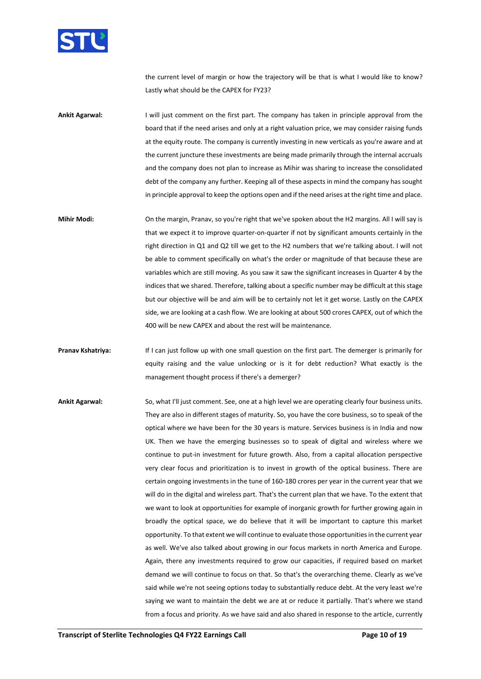

the current level of margin or how the trajectory will be that is what I would like to know? Lastly what should be the CAPEX for FY23?

**Ankit Agarwal:** I will just comment on the first part. The company has taken in principle approval from the board that if the need arises and only at a right valuation price, we may consider raising funds at the equity route. The company is currently investing in new verticals as you're aware and at the current juncture these investments are being made primarily through the internal accruals and the company does not plan to increase as Mihir was sharing to increase the consolidated debt of the company any further. Keeping all of these aspects in mind the company has sought in principle approval to keep the options open and if the need arises at the right time and place.

**Mihir Modi:** On the margin, Pranav, so you're right that we've spoken about the H2 margins. All I will say is that we expect it to improve quarter-on-quarter if not by significant amounts certainly in the right direction in Q1 and Q2 till we get to the H2 numbers that we're talking about. I will not be able to comment specifically on what's the order or magnitude of that because these are variables which are still moving. As you saw it saw the significant increases in Quarter 4 by the indices that we shared. Therefore, talking about a specific number may be difficult at this stage but our objective will be and aim will be to certainly not let it get worse. Lastly on the CAPEX side, we are looking at a cash flow. We are looking at about 500 crores CAPEX, out of which the 400 will be new CAPEX and about the rest will be maintenance.

**Pranav Kshatriya:** If I can just follow up with one small question on the first part. The demerger is primarily for equity raising and the value unlocking or is it for debt reduction? What exactly is the management thought process if there's a demerger?

**Ankit Agarwal:** So, what I'll just comment. See, one at a high level we are operating clearly four business units. They are also in different stages of maturity. So, you have the core business, so to speak of the optical where we have been for the 30 years is mature. Services business is in India and now UK. Then we have the emerging businesses so to speak of digital and wireless where we continue to put-in investment for future growth. Also, from a capital allocation perspective very clear focus and prioritization is to invest in growth of the optical business. There are certain ongoing investments in the tune of 160-180 crores per year in the current year that we will do in the digital and wireless part. That's the current plan that we have. To the extent that we want to look at opportunities for example of inorganic growth for further growing again in broadly the optical space, we do believe that it will be important to capture this market opportunity. To that extent we will continue to evaluate those opportunities in the current year as well. We've also talked about growing in our focus markets in north America and Europe. Again, there any investments required to grow our capacities, if required based on market demand we will continue to focus on that. So that's the overarching theme. Clearly as we've said while we're not seeing options today to substantially reduce debt. At the very least we're saying we want to maintain the debt we are at or reduce it partially. That's where we stand from a focus and priority. As we have said and also shared in response to the article, currently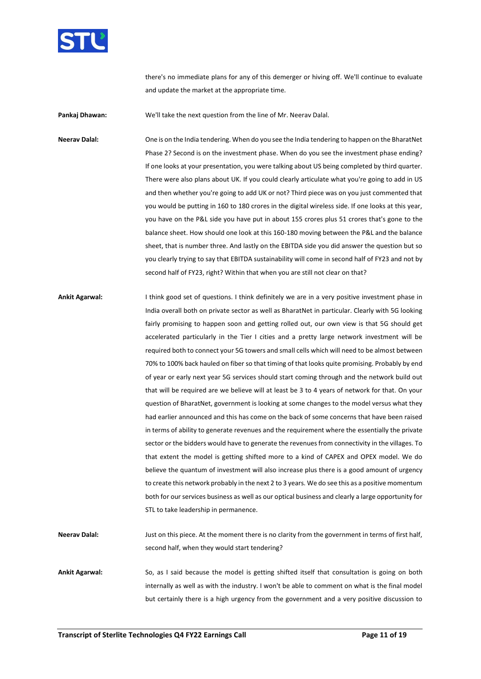

there's no immediate plans for any of this demerger or hiving off. We'll continue to evaluate and update the market at the appropriate time.

**Pankaj Dhawan:** We'll take the next question from the line of Mr. Neerav Dalal.

**Neerav Dalal:** One is on the India tendering. When do you see the India tendering to happen on the BharatNet Phase 2? Second is on the investment phase. When do you see the investment phase ending? If one looks at your presentation, you were talking about US being completed by third quarter. There were also plans about UK. If you could clearly articulate what you're going to add in US and then whether you're going to add UK or not? Third piece was on you just commented that you would be putting in 160 to 180 crores in the digital wireless side. If one looks at this year, you have on the P&L side you have put in about 155 crores plus 51 crores that's gone to the balance sheet. How should one look at this 160-180 moving between the P&L and the balance sheet, that is number three. And lastly on the EBITDA side you did answer the question but so you clearly trying to say that EBITDA sustainability will come in second half of FY23 and not by second half of FY23, right? Within that when you are still not clear on that?

**Ankit Agarwal:** I think good set of questions. I think definitely we are in a very positive investment phase in India overall both on private sector as well as BharatNet in particular. Clearly with 5G looking fairly promising to happen soon and getting rolled out, our own view is that 5G should get accelerated particularly in the Tier I cities and a pretty large network investment will be required both to connect your 5G towers and small cells which will need to be almost between 70% to 100% back hauled on fiber so that timing of that looks quite promising. Probably by end of year or early next year 5G services should start coming through and the network build out that will be required are we believe will at least be 3 to 4 years of network for that. On your question of BharatNet, government is looking at some changes to the model versus what they had earlier announced and this has come on the back of some concerns that have been raised in terms of ability to generate revenues and the requirement where the essentially the private sector or the bidders would have to generate the revenues from connectivity in the villages. To that extent the model is getting shifted more to a kind of CAPEX and OPEX model. We do believe the quantum of investment will also increase plus there is a good amount of urgency to create this network probably in the next 2 to 3 years. We do see this as a positive momentum both for our services business as well as our optical business and clearly a large opportunity for STL to take leadership in permanence.

**Neerav Dalal:** Just on this piece. At the moment there is no clarity from the government in terms of first half, second half, when they would start tendering?

**Ankit Agarwal:** So, as I said because the model is getting shifted itself that consultation is going on both internally as well as with the industry. I won't be able to comment on what is the final model but certainly there is a high urgency from the government and a very positive discussion to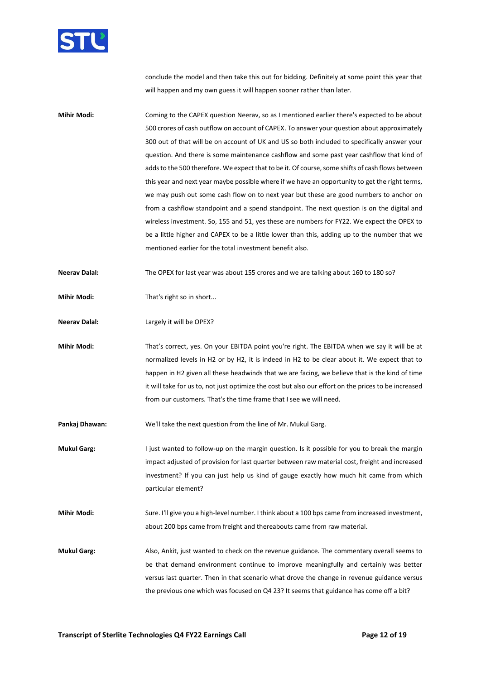

conclude the model and then take this out for bidding. Definitely at some point this year that will happen and my own guess it will happen sooner rather than later.

- **Mihir Modi:** Coming to the CAPEX question Neerav, so as I mentioned earlier there's expected to be about 500 crores of cash outflow on account of CAPEX. To answer your question about approximately 300 out of that will be on account of UK and US so both included to specifically answer your question. And there is some maintenance cashflow and some past year cashflow that kind of adds to the 500 therefore. We expect that to be it. Of course, some shifts of cash flows between this year and next year maybe possible where if we have an opportunity to get the right terms, we may push out some cash flow on to next year but these are good numbers to anchor on from a cashflow standpoint and a spend standpoint. The next question is on the digital and wireless investment. So, 155 and 51, yes these are numbers for FY22. We expect the OPEX to be a little higher and CAPEX to be a little lower than this, adding up to the number that we mentioned earlier for the total investment benefit also.
- **Neerav Dalal:** The OPEX for last year was about 155 crores and we are talking about 160 to 180 so?
- **Mihir Modi:** That's right so in short...
- **Neerav Dalal:** Largely it will be OPEX?
- **Mihir Modi:** That's correct, yes. On your EBITDA point you're right. The EBITDA when we say it will be at normalized levels in H2 or by H2, it is indeed in H2 to be clear about it. We expect that to happen in H2 given all these headwinds that we are facing, we believe that is the kind of time it will take for us to, not just optimize the cost but also our effort on the prices to be increased from our customers. That's the time frame that I see we will need.
- **Pankaj Dhawan:** We'll take the next question from the line of Mr. Mukul Garg.
- **Mukul Garg:** I just wanted to follow-up on the margin question. Is it possible for you to break the margin impact adjusted of provision for last quarter between raw material cost, freight and increased investment? If you can just help us kind of gauge exactly how much hit came from which particular element?
- **Mihir Modi:** Sure. I'll give you a high-level number. I think about a 100 bps came from increased investment, about 200 bps came from freight and thereabouts came from raw material.
- **Mukul Garg:** Also, Ankit, just wanted to check on the revenue guidance. The commentary overall seems to be that demand environment continue to improve meaningfully and certainly was better versus last quarter. Then in that scenario what drove the change in revenue guidance versus the previous one which was focused on Q4 23? It seems that guidance has come off a bit?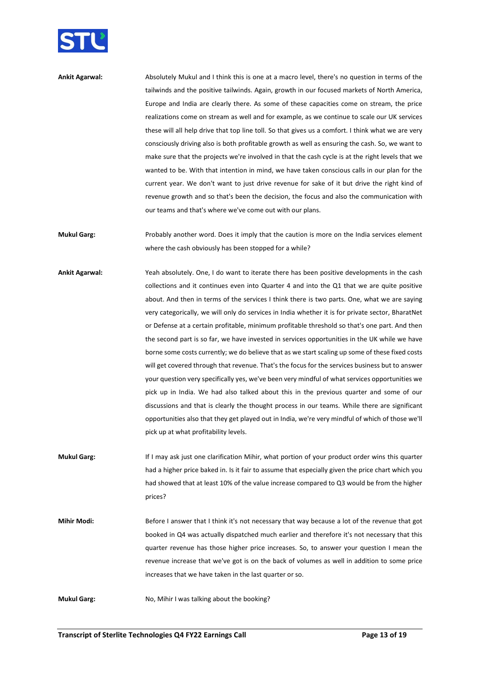

**Ankit Agarwal:** Absolutely Mukul and I think this is one at a macro level, there's no question in terms of the tailwinds and the positive tailwinds. Again, growth in our focused markets of North America, Europe and India are clearly there. As some of these capacities come on stream, the price realizations come on stream as well and for example, as we continue to scale our UK services these will all help drive that top line toll. So that gives us a comfort. I think what we are very consciously driving also is both profitable growth as well as ensuring the cash. So, we want to make sure that the projects we're involved in that the cash cycle is at the right levels that we wanted to be. With that intention in mind, we have taken conscious calls in our plan for the current year. We don't want to just drive revenue for sake of it but drive the right kind of revenue growth and so that's been the decision, the focus and also the communication with our teams and that's where we've come out with our plans.

**Mukul Garg:** Probably another word. Does it imply that the caution is more on the India services element where the cash obviously has been stopped for a while?

- **Ankit Agarwal:** Yeah absolutely. One, I do want to iterate there has been positive developments in the cash collections and it continues even into Quarter 4 and into the Q1 that we are quite positive about. And then in terms of the services I think there is two parts. One, what we are saying very categorically, we will only do services in India whether it is for private sector, BharatNet or Defense at a certain profitable, minimum profitable threshold so that's one part. And then the second part is so far, we have invested in services opportunities in the UK while we have borne some costs currently; we do believe that as we start scaling up some of these fixed costs will get covered through that revenue. That's the focus for the services business but to answer your question very specifically yes, we've been very mindful of what services opportunities we pick up in India. We had also talked about this in the previous quarter and some of our discussions and that is clearly the thought process in our teams. While there are significant opportunities also that they get played out in India, we're very mindful of which of those we'll pick up at what profitability levels.
- **Mukul Garg:** If I may ask just one clarification Mihir, what portion of your product order wins this quarter had a higher price baked in. Is it fair to assume that especially given the price chart which you had showed that at least 10% of the value increase compared to Q3 would be from the higher prices?

Mihir Modi: Before I answer that I think it's not necessary that way because a lot of the revenue that got booked in Q4 was actually dispatched much earlier and therefore it's not necessary that this quarter revenue has those higher price increases. So, to answer your question I mean the revenue increase that we've got is on the back of volumes as well in addition to some price increases that we have taken in the last quarter or so.

**Mukul Garg:** No, Mihir I was talking about the booking?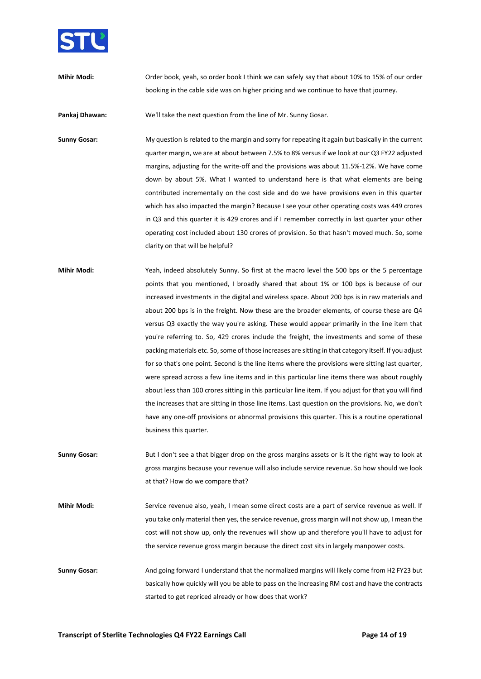

**Mihir Modi:** Order book, yeah, so order book I think we can safely say that about 10% to 15% of our order booking in the cable side was on higher pricing and we continue to have that journey.

**Pankaj Dhawan:** We'll take the next question from the line of Mr. Sunny Gosar.

**Sunny Gosar:** My question is related to the margin and sorry for repeating it again but basically in the current quarter margin, we are at about between 7.5% to 8% versus if we look at our Q3 FY22 adjusted margins, adjusting for the write-off and the provisions was about 11.5%-12%. We have come down by about 5%. What I wanted to understand here is that what elements are being contributed incrementally on the cost side and do we have provisions even in this quarter which has also impacted the margin? Because I see your other operating costs was 449 crores in Q3 and this quarter it is 429 crores and if I remember correctly in last quarter your other operating cost included about 130 crores of provision. So that hasn't moved much. So, some clarity on that will be helpful?

- **Mihir Modi:** Yeah, indeed absolutely Sunny. So first at the macro level the 500 bps or the 5 percentage points that you mentioned, I broadly shared that about 1% or 100 bps is because of our increased investments in the digital and wireless space. About 200 bps is in raw materials and about 200 bps is in the freight. Now these are the broader elements, of course these are Q4 versus Q3 exactly the way you're asking. These would appear primarily in the line item that you're referring to. So, 429 crores include the freight, the investments and some of these packing materials etc. So, some of those increases are sitting in that category itself. If you adjust for so that's one point. Second is the line items where the provisions were sitting last quarter, were spread across a few line items and in this particular line items there was about roughly about less than 100 crores sitting in this particular line item. If you adjust for that you will find the increases that are sitting in those line items. Last question on the provisions. No, we don't have any one-off provisions or abnormal provisions this quarter. This is a routine operational business this quarter.
- **Sunny Gosar:** But I don't see a that bigger drop on the gross margins assets or is it the right way to look at gross margins because your revenue will also include service revenue. So how should we look at that? How do we compare that?

**Mihir Modi:** Service revenue also, yeah, I mean some direct costs are a part of service revenue as well. If you take only material then yes, the service revenue, gross margin will not show up, I mean the cost will not show up, only the revenues will show up and therefore you'll have to adjust for the service revenue gross margin because the direct cost sits in largely manpower costs.

**Sunny Gosar:** And going forward I understand that the normalized margins will likely come from H2 FY23 but basically how quickly will you be able to pass on the increasing RM cost and have the contracts started to get repriced already or how does that work?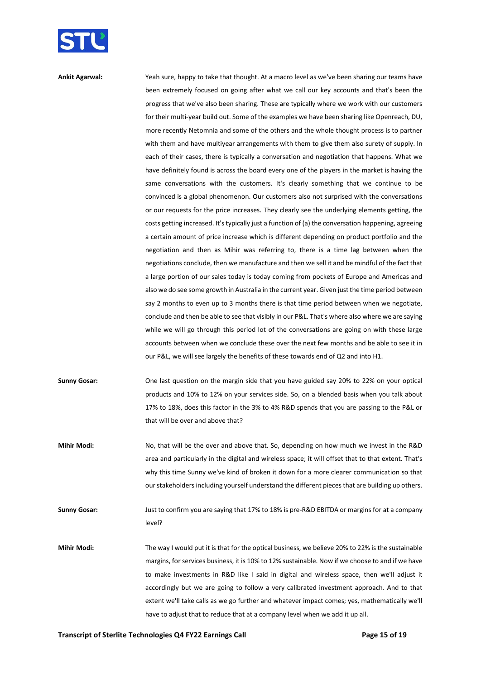

**Ankit Agarwal:** Yeah sure, happy to take that thought. At a macro level as we've been sharing our teams have been extremely focused on going after what we call our key accounts and that's been the progress that we've also been sharing. These are typically where we work with our customers for their multi-year build out. Some of the examples we have been sharing like Openreach, DU, more recently Netomnia and some of the others and the whole thought process is to partner with them and have multiyear arrangements with them to give them also surety of supply. In each of their cases, there is typically a conversation and negotiation that happens. What we have definitely found is across the board every one of the players in the market is having the same conversations with the customers. It's clearly something that we continue to be convinced is a global phenomenon. Our customers also not surprised with the conversations or our requests for the price increases. They clearly see the underlying elements getting, the costs getting increased. It's typically just a function of (a) the conversation happening, agreeing a certain amount of price increase which is different depending on product portfolio and the negotiation and then as Mihir was referring to, there is a time lag between when the negotiations conclude, then we manufacture and then we sell it and be mindful of the fact that a large portion of our sales today is today coming from pockets of Europe and Americas and also we do see some growth in Australia in the current year. Given just the time period between say 2 months to even up to 3 months there is that time period between when we negotiate, conclude and then be able to see that visibly in our P&L. That's where also where we are saying while we will go through this period lot of the conversations are going on with these large accounts between when we conclude these over the next few months and be able to see it in our P&L, we will see largely the benefits of these towards end of Q2 and into H1.

**Sunny Gosar:** One last question on the margin side that you have guided say 20% to 22% on your optical products and 10% to 12% on your services side. So, on a blended basis when you talk about 17% to 18%, does this factor in the 3% to 4% R&D spends that you are passing to the P&L or that will be over and above that?

**Mihir Modi:** No, that will be the over and above that. So, depending on how much we invest in the R&D area and particularly in the digital and wireless space; it will offset that to that extent. That's why this time Sunny we've kind of broken it down for a more clearer communication so that our stakeholders including yourself understand the different pieces that are building up others.

**Sunny Gosar:** Just to confirm you are saying that 17% to 18% is pre-R&D EBITDA or margins for at a company level?

**Mihir Modi:** The way I would put it is that for the optical business, we believe 20% to 22% is the sustainable margins, for services business, it is 10% to 12% sustainable. Now if we choose to and if we have to make investments in R&D like I said in digital and wireless space, then we'll adjust it accordingly but we are going to follow a very calibrated investment approach. And to that extent we'll take calls as we go further and whatever impact comes; yes, mathematically we'll have to adjust that to reduce that at a company level when we add it up all.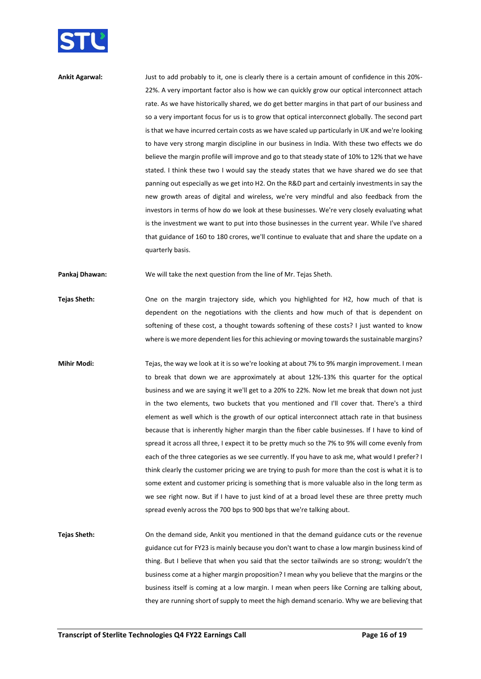

**Ankit Agarwal:** Just to add probably to it, one is clearly there is a certain amount of confidence in this 20%- 22%. A very important factor also is how we can quickly grow our optical interconnect attach rate. As we have historically shared, we do get better margins in that part of our business and so a very important focus for us is to grow that optical interconnect globally. The second part is that we have incurred certain costs as we have scaled up particularly in UK and we're looking to have very strong margin discipline in our business in India. With these two effects we do believe the margin profile will improve and go to that steady state of 10% to 12% that we have stated. I think these two I would say the steady states that we have shared we do see that panning out especially as we get into H2. On the R&D part and certainly investments in say the new growth areas of digital and wireless, we're very mindful and also feedback from the investors in terms of how do we look at these businesses. We're very closely evaluating what is the investment we want to put into those businesses in the current year. While I've shared that guidance of 160 to 180 crores, we'll continue to evaluate that and share the update on a quarterly basis.

**Pankaj Dhawan:** We will take the next question from the line of Mr. Tejas Sheth.

- **Tejas Sheth:** One on the margin trajectory side, which you highlighted for H2, how much of that is dependent on the negotiations with the clients and how much of that is dependent on softening of these cost, a thought towards softening of these costs? I just wanted to know where is we more dependent lies for this achieving or moving towards the sustainable margins?
- **Mihir Modi:** Tejas, the way we look at it is so we're looking at about 7% to 9% margin improvement. I mean to break that down we are approximately at about 12%-13% this quarter for the optical business and we are saying it we'll get to a 20% to 22%. Now let me break that down not just in the two elements, two buckets that you mentioned and I'll cover that. There's a third element as well which is the growth of our optical interconnect attach rate in that business because that is inherently higher margin than the fiber cable businesses. If I have to kind of spread it across all three, I expect it to be pretty much so the 7% to 9% will come evenly from each of the three categories as we see currently. If you have to ask me, what would I prefer? I think clearly the customer pricing we are trying to push for more than the cost is what it is to some extent and customer pricing is something that is more valuable also in the long term as we see right now. But if I have to just kind of at a broad level these are three pretty much spread evenly across the 700 bps to 900 bps that we're talking about.
- **Tejas Sheth:** On the demand side, Ankit you mentioned in that the demand guidance cuts or the revenue guidance cut for FY23 is mainly because you don't want to chase a low margin business kind of thing. But I believe that when you said that the sector tailwinds are so strong; wouldn't the business come at a higher margin proposition? I mean why you believe that the margins or the business itself is coming at a low margin. I mean when peers like Corning are talking about, they are running short of supply to meet the high demand scenario. Why we are believing that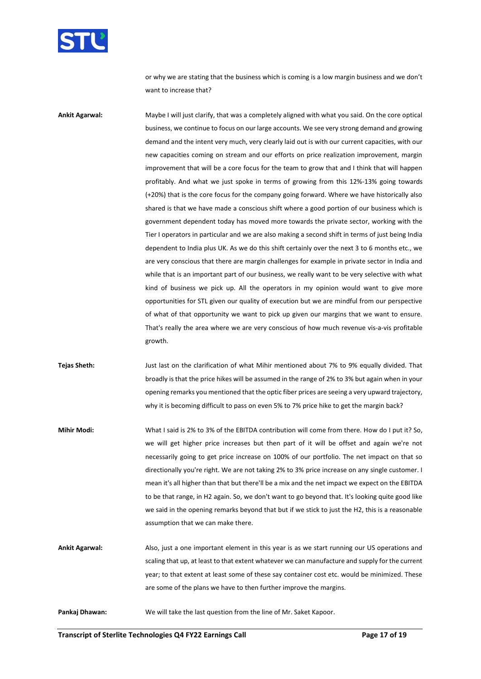

or why we are stating that the business which is coming is a low margin business and we don't want to increase that?

**Ankit Agarwal:** Maybe I will just clarify, that was a completely aligned with what you said. On the core optical business, we continue to focus on our large accounts. We see very strong demand and growing demand and the intent very much, very clearly laid out is with our current capacities, with our new capacities coming on stream and our efforts on price realization improvement, margin improvement that will be a core focus for the team to grow that and I think that will happen profitably. And what we just spoke in terms of growing from this 12%-13% going towards (+20%) that is the core focus for the company going forward. Where we have historically also shared is that we have made a conscious shift where a good portion of our business which is government dependent today has moved more towards the private sector, working with the Tier I operators in particular and we are also making a second shift in terms of just being India dependent to India plus UK. As we do this shift certainly over the next 3 to 6 months etc., we are very conscious that there are margin challenges for example in private sector in India and while that is an important part of our business, we really want to be very selective with what kind of business we pick up. All the operators in my opinion would want to give more opportunities for STL given our quality of execution but we are mindful from our perspective of what of that opportunity we want to pick up given our margins that we want to ensure. That's really the area where we are very conscious of how much revenue vis-a-vis profitable growth.

**Tejas Sheth:** Just last on the clarification of what Mihir mentioned about 7% to 9% equally divided. That broadly is that the price hikes will be assumed in the range of 2% to 3% but again when in your opening remarks you mentioned that the optic fiber prices are seeing a very upward trajectory, why it is becoming difficult to pass on even 5% to 7% price hike to get the margin back?

**Mihir Modi:** What I said is 2% to 3% of the EBITDA contribution will come from there. How do I put it? So, we will get higher price increases but then part of it will be offset and again we're not necessarily going to get price increase on 100% of our portfolio. The net impact on that so directionally you're right. We are not taking 2% to 3% price increase on any single customer. I mean it's all higher than that but there'll be a mix and the net impact we expect on the EBITDA to be that range, in H2 again. So, we don't want to go beyond that. It's looking quite good like we said in the opening remarks beyond that but if we stick to just the H2, this is a reasonable assumption that we can make there.

**Ankit Agarwal:** Also, just a one important element in this year is as we start running our US operations and scaling that up, at least to that extent whatever we can manufacture and supply for the current year; to that extent at least some of these say container cost etc. would be minimized. These are some of the plans we have to then further improve the margins.

**Pankaj Dhawan:** We will take the last question from the line of Mr. Saket Kapoor.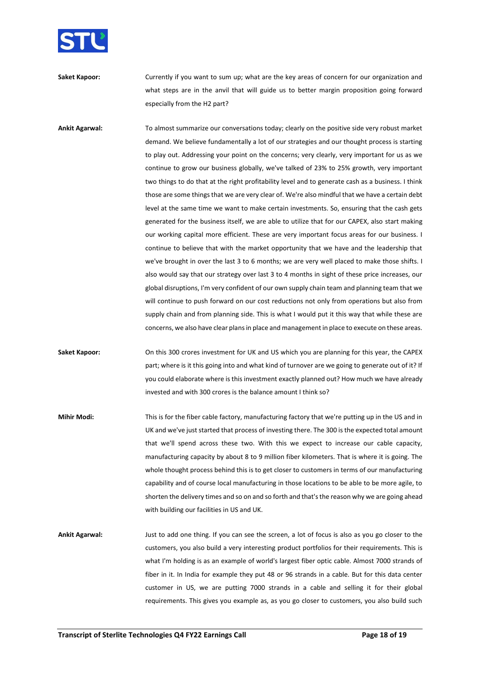

**Saket Kapoor:** Currently if you want to sum up; what are the key areas of concern for our organization and what steps are in the anvil that will guide us to better margin proposition going forward especially from the H2 part?

**Ankit Agarwal:** To almost summarize our conversations today; clearly on the positive side very robust market demand. We believe fundamentally a lot of our strategies and our thought process is starting to play out. Addressing your point on the concerns; very clearly, very important for us as we continue to grow our business globally, we've talked of 23% to 25% growth, very important two things to do that at the right profitability level and to generate cash as a business. I think those are some things that we are very clear of. We're also mindful that we have a certain debt level at the same time we want to make certain investments. So, ensuring that the cash gets generated for the business itself, we are able to utilize that for our CAPEX, also start making our working capital more efficient. These are very important focus areas for our business. I continue to believe that with the market opportunity that we have and the leadership that we've brought in over the last 3 to 6 months; we are very well placed to make those shifts. I also would say that our strategy over last 3 to 4 months in sight of these price increases, our global disruptions, I'm very confident of our own supply chain team and planning team that we will continue to push forward on our cost reductions not only from operations but also from supply chain and from planning side. This is what I would put it this way that while these are concerns, we also have clear plans in place and management in place to execute on these areas.

**Saket Kapoor:** On this 300 crores investment for UK and US which you are planning for this year, the CAPEX part; where is it this going into and what kind of turnover are we going to generate out of it? If you could elaborate where is this investment exactly planned out? How much we have already invested and with 300 crores is the balance amount I think so?

**Mihir Modi:** This is for the fiber cable factory, manufacturing factory that we're putting up in the US and in UK and we've just started that process of investing there. The 300 is the expected total amount that we'll spend across these two. With this we expect to increase our cable capacity, manufacturing capacity by about 8 to 9 million fiber kilometers. That is where it is going. The whole thought process behind this is to get closer to customers in terms of our manufacturing capability and of course local manufacturing in those locations to be able to be more agile, to shorten the delivery times and so on and so forth and that's the reason why we are going ahead with building our facilities in US and UK.

**Ankit Agarwal:** Just to add one thing. If you can see the screen, a lot of focus is also as you go closer to the customers, you also build a very interesting product portfolios for their requirements. This is what I'm holding is as an example of world's largest fiber optic cable. Almost 7000 strands of fiber in it. In India for example they put 48 or 96 strands in a cable. But for this data center customer in US, we are putting 7000 strands in a cable and selling it for their global requirements. This gives you example as, as you go closer to customers, you also build such